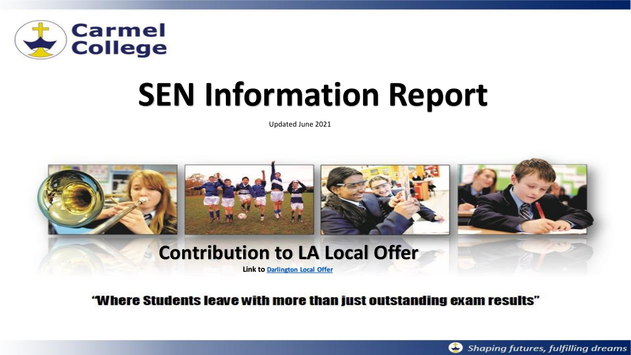

# **SEN Information Report**

Updated June 2021



"Where Students leave with more than just outstanding exam results"

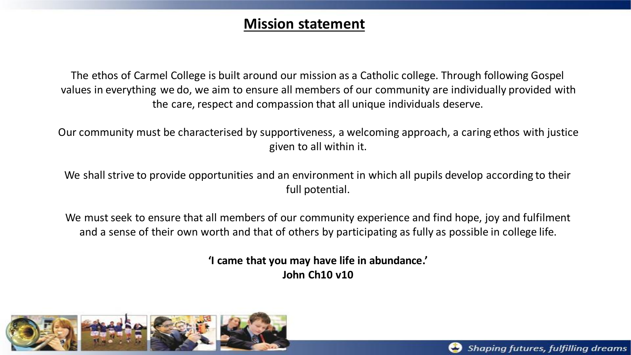#### **Mission statement**

The ethos of Carmel College is built around our mission as a Catholic college. Through following Gospel values in everything we do, we aim to ensure all members of our community are individually provided with the care, respect and compassion that all unique individuals deserve.

Our community must be characterised by supportiveness, a welcoming approach, a caring ethos with justice given to all within it.

We shall strive to provide opportunities and an environment in which all pupils develop according to their full potential.

We must seek to ensure that all members of our community experience and find hope, joy and fulfilment and a sense of their own worth and that of others by participating as fully as possible in college life.

> **'I came that you may have life in abundance.' John Ch10 v10**



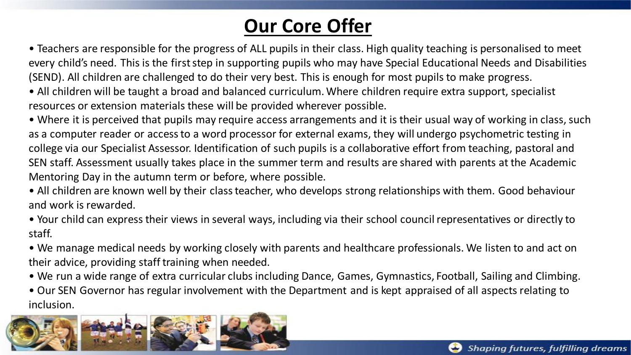### **Our Core Offer**

• Teachers are responsible for the progress of ALL pupils in their class. High quality teaching is personalised to meet every child's need. This is the first step in supporting pupils who may have Special Educational Needs and Disabilities (SEND). All children are challenged to do their very best. This is enough for most pupils to make progress.

• All children will be taught a broad and balanced curriculum. Where children require extra support, specialist resources or extension materials these will be provided wherever possible.

• Where it is perceived that pupils may require access arrangements and it is their usual way of working in class, such as a computer reader or access to a word processor for external exams, they will undergo psychometric testing in college via our Specialist Assessor. Identification of such pupils is a collaborative effort from teaching, pastoral and SEN staff. Assessment usually takes place in the summer term and results are shared with parents at the Academic Mentoring Day in the autumn term or before, where possible.

• All children are known well by their class teacher, who develops strong relationships with them. Good behaviour and work is rewarded.

• Your child can express their views in several ways, including via their school council representatives or directly to staff.

• We manage medical needs by working closely with parents and healthcare professionals. We listen to and act on their advice, providing staff training when needed.

• We run a wide range of extra curricular clubs including Dance, Games, Gymnastics, Football, Sailing and Climbing.

• Our SEN Governor has regular involvement with the Department and is kept appraised of all aspects relating to inclusion.

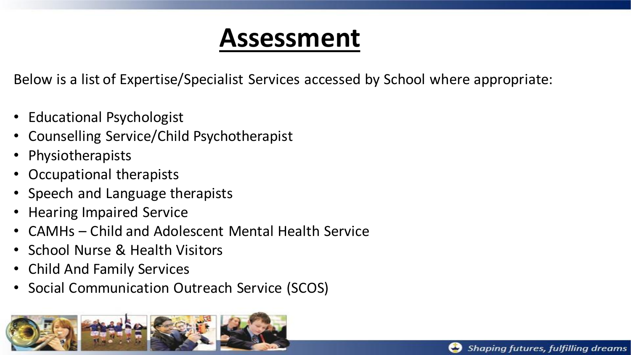### **Assessment**

Below is a list of Expertise/Specialist Services accessed by School where appropriate:

- Educational Psychologist
- Counselling Service/Child Psychotherapist
- Physiotherapists
- Occupational therapists
- Speech and Language therapists
- Hearing Impaired Service
- CAMHs Child and Adolescent Mental Health Service
- School Nurse & Health Visitors
- Child And Family Services
- Social Communication Outreach Service (SCOS)



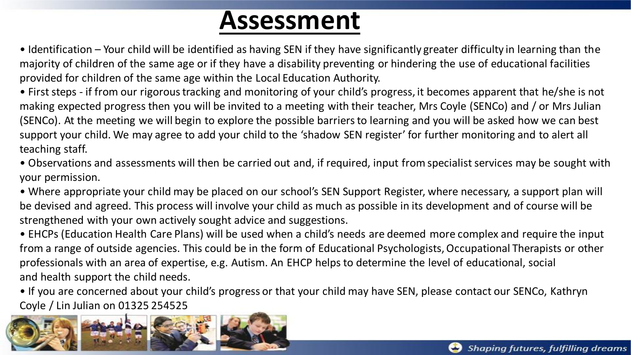### **Assessment**

• Identification – Your child will be identified as having SEN if they have significantly greater difficulty in learning than the majority of children of the same age or if they have a disability preventing or hindering the use of educational facilities provided for children of the same age within the Local Education Authority.

• First steps - if from our rigorous tracking and monitoring of your child's progress, it becomes apparent that he/she is not making expected progress then you will be invited to a meeting with their teacher, Mrs Coyle (SENCo) and / or Mrs Julian (SENCo). At the meeting we will begin to explore the possible barriers to learning and you will be asked how we can best support your child. We may agree to add your child to the 'shadow SEN register' for further monitoring and to alert all teaching staff.

• Observations and assessments will then be carried out and, if required, input from specialist services may be sought with your permission.

• Where appropriate your child may be placed on our school's SEN Support Register, where necessary, a support plan will be devised and agreed. This process will involve your child as much as possible in its development and of course will be strengthened with your own actively sought advice and suggestions.

• EHCPs (Education Health Care Plans) will be used when a child's needs are deemed more complex and require the input from a range of outside agencies. This could be in the form of Educational Psychologists, Occupational Therapists or other professionals with an area of expertise, e.g. Autism. An EHCP helps to determine the level of educational, social and health support the child needs.

• If you are concerned about your child's progress or that your child may have SEN, please contact our SENCo, Kathryn Coyle / Lin Julian on 01325 254525

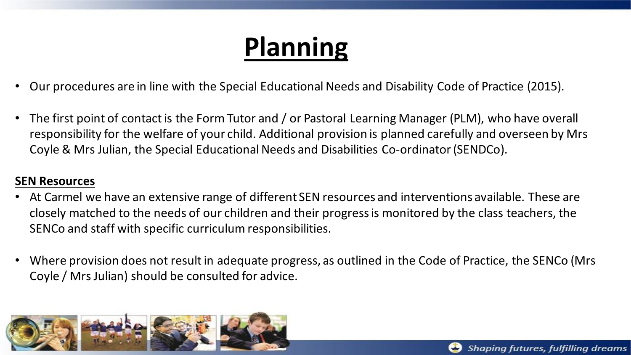## **Planning**

- Our procedures are in line with the Special Educational Needs and Disability Code of Practice (2015).
- The first point of contact is the Form Tutor and / or Pastoral Learning Manager (PLM), who have overall responsibility for the welfare of your child. Additional provision is planned carefully and overseen by Mrs Coyle & Mrs Julian, the Special Educational Needs and Disabilities Co-ordinator (SENDCo).

#### **SEN Resources**

- At Carmel we have an extensive range of different SEN resources and interventions available. These are closely matched to the needs of our children and their progress is monitored by the class teachers, the SENCo and staff with specific curriculum responsibilities.
- Where provision does not result in adequate progress, as outlined in the Code of Practice, the SENCo (Mrs Coyle / Mrs Julian) should be consulted for advice.

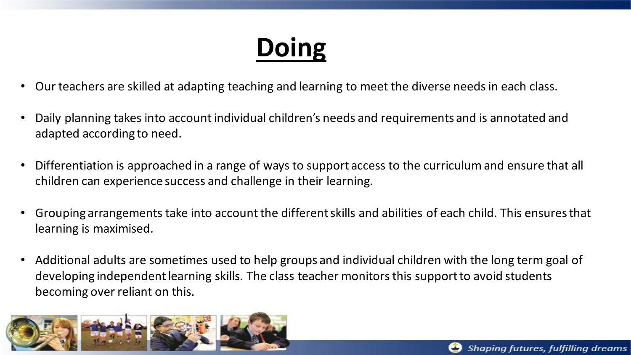## **Doing**

- Our teachers are skilled at adapting teaching and learning to meet the diverse needs in each class.
- Daily planning takes into account individual children's needs and requirements and is annotated and adapted according to need.
- Differentiation is approached in a range of ways to support access to the curriculum and ensure that all children can experience success and challenge in their learning.
- Grouping arrangements take into account the different skills and abilities of each child. This ensures that learning is maximised.
- Additional adults are sometimes used to help groups and individual children with the long term goal of developing independent learning skills. The class teacher monitors this support to avoid students becoming over reliant on this.

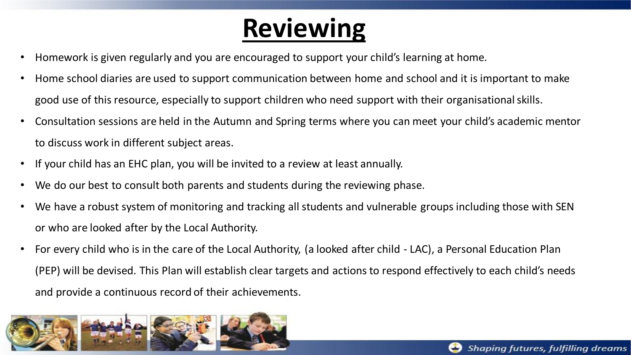### **Reviewing**

- Homework is given regularly and you are encouraged to support your child's learning at home.
- Home school diaries are used to support communication between home and school and it is important to make good use of this resource, especially to support children who need support with their organisational skills.
- Consultation sessions are held in the Autumn and Spring terms where you can meet your child's academic mentor to discuss work in different subject areas.
- If your child has an EHC plan, you will be invited to a review at least annually.
- We do our best to consult both parents and students during the reviewing phase.
- We have a robust system of monitoring and tracking all students and vulnerable groups including those with SEN or who are looked after by the Local Authority.
- For every child who is in the care of the Local Authority, (a looked after child LAC), a Personal Education Plan (PEP) will be devised. This Plan will establish clear targets and actions to respond effectively to each child's needs and provide a continuous record of their achievements.

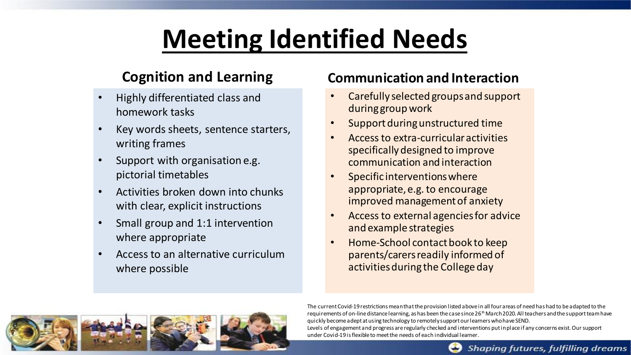## **Meeting Identified Needs**

#### **Cognition and Learning**

- Highly differentiated class and homework tasks
- Key words sheets, sentence starters, writing frames
- Support with organisation e.g. pictorial timetables
- Activities broken down into chunks with clear, explicit instructions
- Small group and 1:1 intervention where appropriate
- Access to an alternative curriculum where possible

#### **Communication and Interaction**

- Carefully selected groups and support during group work
- Support during unstructured time
- Access to extra-curricular activities specifically designed to improve communication and interaction
- Specific interventions where appropriate, e.g. to encourage improved management of anxiety
- Access to external agencies for advice and example strategies
- Home-School contact book to keep parents/carers readily informed of activities during the College day



The current Covid-19 restrictions mean that the provision listed above in all four areas of need has had to be adapted to the requirements of on-line distance learning, as has been the case since  $26<sup>th</sup>$  March 2020. All teachers and the support team have quickly become adept at using technology to remotely support our learners who have SEND. Levels of engagement and progress are regularly checked and interventions put in place if any concerns exist. Our support under Covid-19 is flexible to meet the needs of each individual learner.



Shaping futures, fulfilling dreams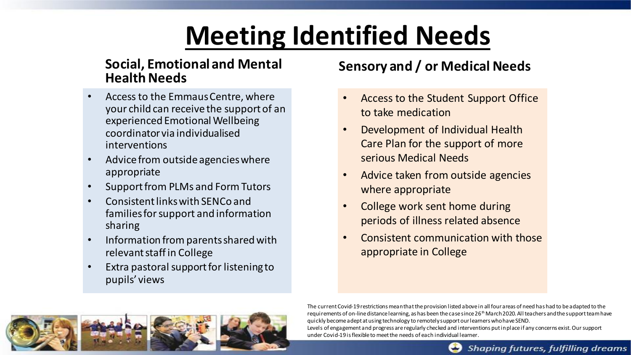### **Meeting Identified Needs**

#### **Social, Emotional and Mental Health Needs**

- Access to the Emmaus Centre, where your child can receive the support of an experienced Emotional Wellbeing coordinator via individualised interventions
- Advice from outside agencies where appropriate
- Support from PLMs and Form Tutors
- Consistent links with SENCo and families for support and information sharing
- Information from parents shared with relevant staff in College
- Extra pastoral support for listening to pupils' views

#### **Sensory and / or Medical Needs**

- Access to the Student Support Office to take medication
- Development of Individual Health Care Plan for the support of more serious Medical Needs
- Advice taken from outside agencies where appropriate
- College work sent home during periods of illness related absence
- Consistent communication with those appropriate in College



The current Covid-19 restrictions mean that the provision listed above in all four areas of need has had to be adapted to the requirements of on-line distance learning, as has been the case since  $26<sup>th</sup>$  March 2020. All teachers and the support team have quickly become adept at using technology to remotely support our learners who have SEND. Levels of engagement and progress are regularly checked and interventions put in place if any concerns exist. Our support under Covid-19 is flexible to meet the needs of each individual learner.



Shaping futures, fulfilling dreams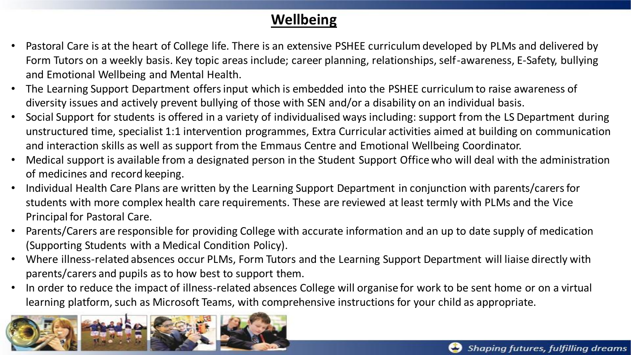#### **Wellbeing**

- Pastoral Care is at the heart of College life. There is an extensive PSHEE curriculum developed by PLMs and delivered by Form Tutors on a weekly basis. Key topic areas include; career planning, relationships, self-awareness, E-Safety, bullying and Emotional Wellbeing and Mental Health.
- The Learning Support Department offers input which is embedded into the PSHEE curriculum to raise awareness of diversity issues and actively prevent bullying of those with SEN and/or a disability on an individual basis.
- Social Support for students is offered in a variety of individualised ways including: support from the LS Department during unstructured time, specialist 1:1 intervention programmes, Extra Curricular activities aimed at building on communication and interaction skills as well as support from the Emmaus Centre and Emotional Wellbeing Coordinator.
- Medical support is available from a designated person in the Student Support Office who will deal with the administration of medicines and record keeping.
- Individual Health Care Plans are written by the Learning Support Department in conjunction with parents/carers for students with more complex health care requirements. These are reviewed at least termly with PLMs and the Vice Principal for Pastoral Care.
- Parents/Carers are responsible for providing College with accurate information and an up to date supply of medication (Supporting Students with a Medical Condition Policy).
- Where illness-related absences occur PLMs, Form Tutors and the Learning Support Department will liaise directly with parents/carers and pupils as to how best to support them.
- In order to reduce the impact of illness-related absences College will organise for work to be sent home or on a virtual learning platform, such as Microsoft Teams, with comprehensive instructions for your child as appropriate.

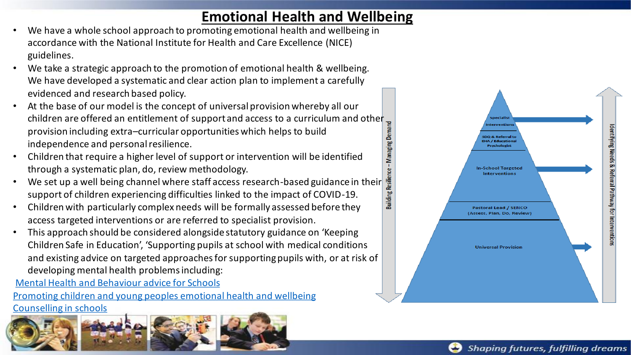#### **Emotional Health and Wellbeing**

- Managing Dema

- We have a whole school approach to promoting emotional health and wellbeing in accordance with the National Institute for Health and Care Excellence (NICE) guidelines.
- We take a strategic approach to the promotion of emotional health & wellbeing. We have developed a systematic and clear action plan to implement a carefully evidenced and research based policy.
- At the base of our model is the concept of universal provision whereby all our children are offered an entitlement of support and access to a curriculum and other  $\frac{1}{2}$ provision including extra–curricular opportunities which helps to build independence and personal resilience.
- Children that require a higher level of support or intervention will be identified through a systematic plan, do, review methodology.
- Resilience-We set up a well being channel where staff access research-based guidance in their **Building** support of children experiencing difficulties linked to the impact of COVID-19.
- Children with particularly complex needs will be formally assessed before they access targeted interventions or are referred to specialist provision.
- This approach should be considered alongside statutory guidance on 'Keeping Children Safe in Education', 'Supporting pupils at school with medical conditions and existing advice on targeted approaches for supporting pupils with, or at risk of developing mental health problems including:

Mental Health and Behaviour advice for Schools

Promoting children and young peoples emotional health and wellbeing Counselling in schools



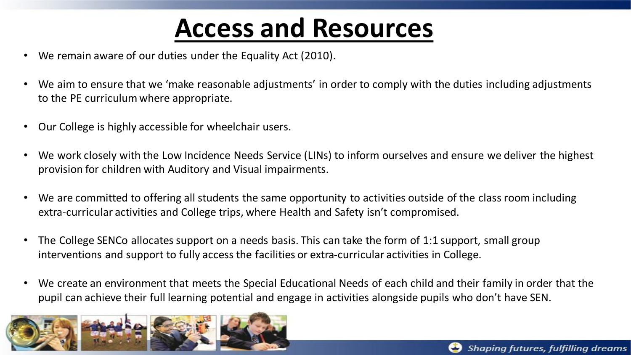### **Access and Resources**

- We remain aware of our duties under the Equality Act (2010).
- We aim to ensure that we 'make reasonable adjustments' in order to comply with the duties including adjustments to the PE curriculum where appropriate.
- Our College is highly accessible for wheelchair users.
- We work closely with the Low Incidence Needs Service (LINs) to inform ourselves and ensure we deliver the highest provision for children with Auditory and Visual impairments.
- We are committed to offering all students the same opportunity to activities outside of the class room including extra-curricular activities and College trips, where Health and Safety isn't compromised.
- The College SENCo allocates support on a needs basis. This can take the form of 1:1 support, small group interventions and support to fully access the facilities or extra-curricular activities in College.
- We create an environment that meets the Special Educational Needs of each child and their family in order that the pupil can achieve their full learning potential and engage in activities alongside pupils who don't have SEN.

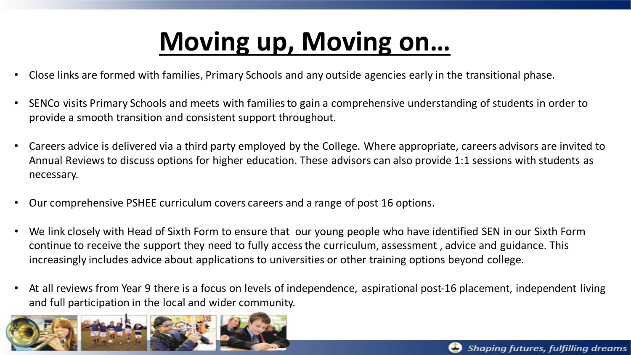## **Moving up, Moving on…**

- Close links are formed with families, Primary Schools and any outside agencies early in the transitional phase.
- SENCo visits Primary Schools and meets with families to gain a comprehensive understanding of students in order to provide a smooth transition and consistent support throughout.
- Careers advice is delivered via a third party employed by the College. Where appropriate, careers advisors are invited to Annual Reviews to discuss options for higher education. These advisors can also provide 1:1 sessions with students as necessary.
- Our comprehensive PSHEE curriculum covers careers and a range of post 16 options.
- We link closely with Head of Sixth Form to ensure that our young people who have identified SEN in our Sixth Form continue to receive the support they need to fully access the curriculum, assessment , advice and guidance. This increasingly includes advice about applications to universities or other training options beyond college.
- At all reviews from Year 9 there is a focus on levels of independence, aspirational post-16 placement, independent living and full participation in the local and wider community.

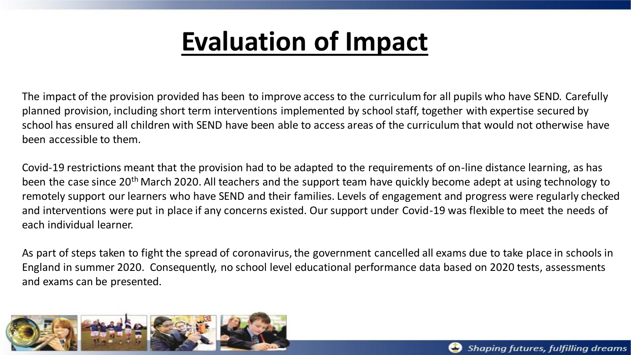### **Evaluation of Impact**

The impact of the provision provided has been to improve access to the curriculum for all pupils who have SEND. Carefully planned provision, including short term interventions implemented by school staff, together with expertise secured by school has ensured all children with SEND have been able to access areas of the curriculum that would not otherwise have been accessible to them.

Covid-19 restrictions meant that the provision had to be adapted to the requirements of on-line distance learning, as has been the case since 20<sup>th</sup> March 2020. All teachers and the support team have quickly become adept at using technology to remotely support our learners who have SEND and their families. Levels of engagement and progress were regularly checked and interventions were put in place if any concerns existed. Our support under Covid-19 was flexible to meet the needs of each individual learner.

As part of steps taken to fight the spread of coronavirus, the government cancelled all exams due to take place in schools in England in summer 2020. Consequently, no school level educational performance data based on 2020 tests, assessments and exams can be presented.